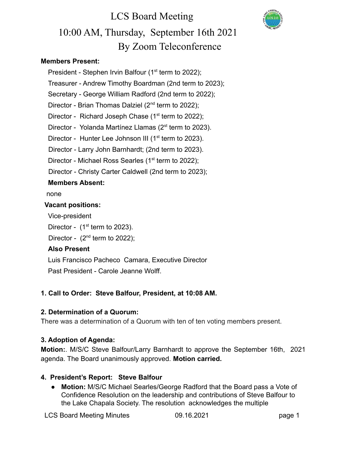# LCS Board Meeting 10:00 AM, Thursday, September 16th 2021 By Zoom Teleconference

#### **Members Present:**

President - Stephen Irvin Balfour  $(1<sup>st</sup>$  term to 2022); Treasurer - Andrew Timothy Boardman (2nd term to 2023); Secretary - George William Radford (2nd term to 2022); Director - Brian Thomas Dalziel  $(2^{nd}$  term to 2022); Director - Richard Joseph Chase  $(1<sup>st</sup>$  term to 2022); Director - Yolanda Martínez Llamas (2<sup>st</sup> term to 2023). Director - Hunter Lee Johnson III (1<sup>st</sup> term to 2023). Director - Larry John Barnhardt; (2nd term to 2023). Director - Michael Ross Searles ( $1<sup>st</sup>$  term to 2022); Director - Christy Carter Caldwell (2nd term to 2023); **Members Absent:**

none

#### **Vacant positions:**

Vice-president

Director -  $(1<sup>st</sup>$  term to 2023).

Director -  $(2<sup>nd</sup>$  term to 2022);

#### **Also Present**

Luis Francisco Pacheco Camara, Executive Director Past President - Carole Jeanne Wolff.

#### **1. Call to Order: Steve Balfour, President, at 10:08 AM.**

#### **2. Determination of a Quorum:**

There was a determination of a Quorum with ten of ten voting members present.

#### **3. Adoption of Agenda:**

**Motion:**. M/S/C Steve Balfour/Larry Barnhardt to approve the September 16th, 2021 agenda. The Board unanimously approved. **Motion carried.**

#### **4. President's Report: Steve Balfour**

● **Motion:** M/S/C Michael Searles/George Radford that the Board pass a Vote of Confidence Resolution on the leadership and contributions of Steve Balfour to the Lake Chapala Society. The resolution acknowledges the multiple

LCS Board Meeting Minutes 09.16.2021 page 1

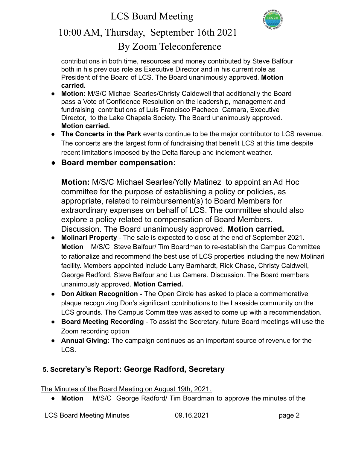

### 10:00 AM, Thursday, September 16th 2021 By Zoom Teleconference

contributions in both time, resources and money contributed by Steve Balfour both in his previous role as Executive Director and in his current role as President of the Board of LCS. The Board unanimously approved. **Motion carried.**

- **Motion:** M/S/C Michael Searles/Christy Caldewell that additionally the Board pass a Vote of Confidence Resolution on the leadership, management and fundraising contributions of Luis Francisco Pacheco Camara, Executive Director, to the Lake Chapala Society. The Board unanimously approved. **Motion carried.**
- **The Concerts in the Park** events continue to be the major contributor to LCS revenue. The concerts are the largest form of fundraising that benefit LCS at this time despite recent limitations imposed by the Delta flareup and inclement weather.
- **Board member compensation:**

**Motion:** M/S/C Michael Searles/Yolly Matinez to appoint an Ad Hoc committee for the purpose of establishing a policy or policies, as appropriate, related to reimbursement(s) to Board Members for extraordinary expenses on behalf of LCS. The committee should also explore a policy related to compensation of Board Members. Discussion. The Board unanimously approved. **Motion carried.**

- **Molinari Property** The sale is expected to close at the end of September 2021. **Motion** M/S/C Steve Balfour/ Tim Boardman to re-establish the Campus Committee to rationalize and recommend the best use of LCS properties including the new Molinari facility. Members appointed include Larry Barnhardt, Rick Chase, Christy Caldwell, George Radford, Steve Balfour and Lus Camera. Discussion. The Board members unanimously approved. **Motion Carried.**
- **Don Aitken Recognition -** The Open Circle has asked to place a commemorative plaque recognizing Don's significant contributions to the Lakeside community on the LCS grounds. The Campus Committee was asked to come up with a recommendation.
- **Board Meeting Recording** To assist the Secretary, future Board meetings will use the Zoom recording option
- **Annual Giving:** The campaign continues as an important source of revenue for the LCS.

### **5. Secretary's Report: George Radford, Secretary**

The Minutes of the Board Meeting on August 19th, 2021.

● **Motion** M/S/C George Radford/ Tim Boardman to approve the minutes of the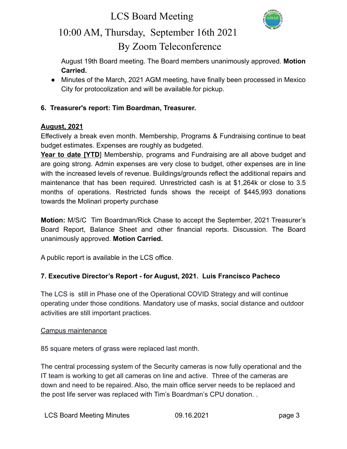### LCS Board Meeting



### 10:00 AM, Thursday, September 16th 2021 By Zoom Teleconference

August 19th Board meeting. The Board members unanimously approved. **Motion Carried.**

**●** Minutes of the March, 2021 AGM meeting, have finally been processed in Mexico City for protocolization and will be available.for pickup.

#### **6. Treasurer's report: Tim Boardman, Treasurer.**

#### **August, 2021**

Effectively a break even month. Membership, Programs & Fundraising continue to beat budget estimates. Expenses are roughly as budgeted.

**Year to date [YTD**] Membership, programs and Fundraising are all above budget and are going strong. Admin expenses are very close to budget, other expenses are in line with the increased levels of revenue. Buildings/grounds reflect the additional repairs and maintenance that has been required. Unrestricted cash is at \$1,264k or close to 3.5 months of operations. Restricted funds shows the receipt of \$445,993 donations towards the Molinari property purchase

**Motion:** M/S/C Tim Boardman/Rick Chase to accept the September, 2021 Treasurer's Board Report, Balance Sheet and other financial reports. Discussion. The Board unanimously approved. **Motion Carried.**

A public report is available in the LCS office.

#### **7. Executive Director's Report - for August, 2021. Luis Francisco Pacheco**

The LCS is still in Phase one of the Operational COVID Strategy and will continue operating under those conditions. Mandatory use of masks, social distance and outdoor activities are still important practices.

#### Campus maintenance

85 square meters of grass were replaced last month.

The central processing system of the Security cameras is now fully operational and the IT team is working to get all cameras on line and active. Three of the cameras are down and need to be repaired. Also, the main office server needs to be replaced and the post life server was replaced with Tim's Boardman's CPU donation. .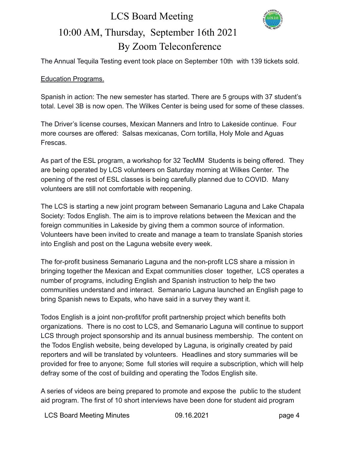## LCS Board Meeting 10:00 AM, Thursday, September 16th 2021 By Zoom Teleconference



The Annual Tequila Testing event took place on September 10th with 139 tickets sold.

#### Education Programs.

Spanish in action: The new semester has started. There are 5 groups with 37 student's total. Level 3B is now open. The Wilkes Center is being used for some of these classes.

The Driver's license courses, Mexican Manners and Intro to Lakeside continue. Four more courses are offered: Salsas mexicanas, Corn tortilla, Holy Mole and Aguas Frescas.

As part of the ESL program, a workshop for 32 TecMM Students is being offered. They are being operated by LCS volunteers on Saturday morning at Wilkes Center. The opening of the rest of ESL classes is being carefully planned due to COVID. Many volunteers are still not comfortable with reopening.

The LCS is starting a new joint program between Semanario Laguna and Lake Chapala Society: Todos English. The aim is to improve relations between the Mexican and the foreign communities in Lakeside by giving them a common source of information. Volunteers have been invited to create and manage a team to translate Spanish stories into English and post on the Laguna website every week.

The for-profit business Semanario Laguna and the non-profit LCS share a mission in bringing together the Mexican and Expat communities closer together, LCS operates a number of programs, including English and Spanish instruction to help the two communities understand and interact. Semanario Laguna launched an English page to bring Spanish news to Expats, who have said in a survey they want it.

Todos English is a joint non-profit/for profit partnership project which benefits both organizations. There is no cost to LCS, and Semanario Laguna will continue to support LCS through project sponsorship and its annual business membership. The content on the Todos English website, being developed by Laguna, is originally created by paid reporters and will be translated by volunteers. Headlines and story summaries will be provided for free to anyone; Some full stories will require a subscription, which will help defray some of the cost of building and operating the Todos English site.

A series of videos are being prepared to promote and expose the public to the student aid program. The first of 10 short interviews have been done for student aid program

LCS Board Meeting Minutes **09.16.2021 page 4**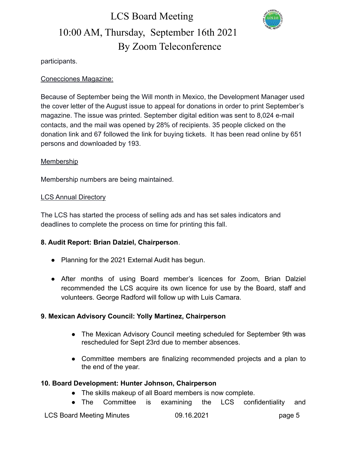## LCS Board Meeting 10:00 AM, Thursday, September 16th 2021 By Zoom Teleconference



participants.

#### Conecciones Magazine:

Because of September being the Will month in Mexico, the Development Manager used the cover letter of the August issue to appeal for donations in order to print September's magazine. The issue was printed. September digital edition was sent to 8,024 e-mail contacts, and the mail was opened by 28% of recipients. 35 people clicked on the donation link and 67 followed the link for buying tickets. It has been read online by 651 persons and downloaded by 193.

#### Membership

Membership numbers are being maintained.

#### LCS Annual Directory

The LCS has started the process of selling ads and has set sales indicators and deadlines to complete the process on time for printing this fall.

#### **8. Audit Report: Brian Dalziel, Chairperson**.

- Planning for the 2021 External Audit has begun.
- After months of using Board member's licences for Zoom, Brian Dalziel recommended the LCS acquire its own licence for use by the Board, staff and volunteers. George Radford will follow up with Luis Camara.

#### **9. Mexican Advisory Council: Yolly Martinez, Chairperson**

- The Mexican Advisory Council meeting scheduled for September 9th was rescheduled for Sept 23rd due to member absences.
- Committee members are finalizing recommended projects and a plan to the end of the year.

#### **10. Board Development: Hunter Johnson, Chairperson**

- **●** The skills makeup of all Board members is now complete.
- The Committee is examining the LCS confidentiality and